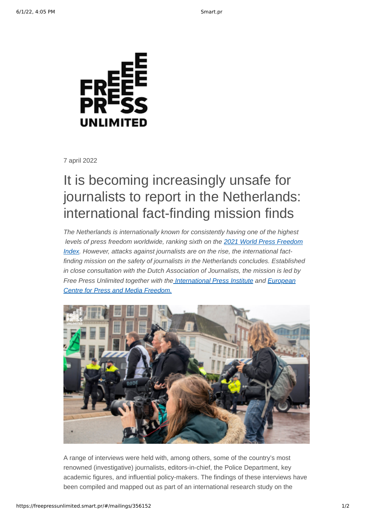

7 april 2022

# It is becoming increasingly unsafe for journalists to report in the Netherlands: international fact-finding mission finds

The Netherlands is internationally known for consistently having one of the highest  *[levels of press freedom worldwide, ranking sixth on the 2021 World Press Freedom](https://rsf.org/en/netherlands) Index. However, attacks against journalists are on the rise, the international factfinding mission on the safety of journalists in the Netherlands concludes. Established in close consultation with the Dutch Association of Journalists, the mission is led by [Free Press Unlimited together with the](https://www.ecpmf.eu/) [International Press Institut](https://ipi.media/)[e and European](https://www.ecpmf.eu/) Centre for Press and Media Freedom.*



A range of interviews were held with, among others, some of the country's most renowned (investigative) journalists, editors-in-chief, the Police Department, key academic figures, and influential policy-makers. The findings of these interviews have been compiled and mapped out as part of an international research study on the